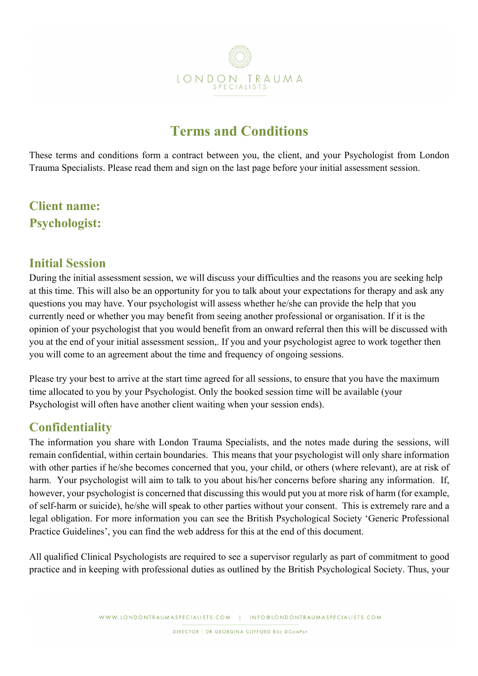

# **Terms and Conditions**

These terms and conditions form a contract between you, the client, and your Psychologist from London Trauma Specialists. Please read them and sign on the last page before your initial assessment session.

## **Client name: Psychologist:**

#### **Initial Session**

During the initial assessment session, we will discuss your difficulties and the reasons you are seeking help at this time. This will also be an opportunity for you to talk about your expectations for therapy and ask any questions you may have. Your psychologist will assess whether he/she can provide the help that you currently need or whether you may benefit from seeing another professional or organisation. If it is the opinion of your psychologist that you would benefit from an onward referral then this will be discussed with you at the end of your initial assessment session,. If you and your psychologist agree to work together then you will come to an agreement about the time and frequency of ongoing sessions.

Please try your best to arrive at the start time agreed for all sessions, to ensure that you have the maximum time allocated to you by your Psychologist. Only the booked session time will be available (your Psychologist will often have another client waiting when your session ends).

## **Confidentiality**

The information you share with London Trauma Specialists, and the notes made during the sessions, will remain confidential, within certain boundaries. This means that your psychologist will only share information with other parties if he/she becomes concerned that you, your child, or others (where relevant), are at risk of harm. Your psychologist will aim to talk to you about his/her concerns before sharing any information. If, however, your psychologist is concerned that discussing this would put you at more risk of harm (for example, of self-harm or suicide), he/she will speak to other parties without your consent. This is extremely rare and a legal obligation. For more information you can see the British Psychological Society 'Generic Professional Practice Guidelines', you can find the web address for this at the end of this document.

All qualified Clinical Psychologists are required to see a supervisor regularly as part of commitment to good practice and in keeping with professional duties as outlined by the British Psychological Society. Thus, your

DIRECTOR : DR GEORGINA CLIFFORD BSc DCLINPSY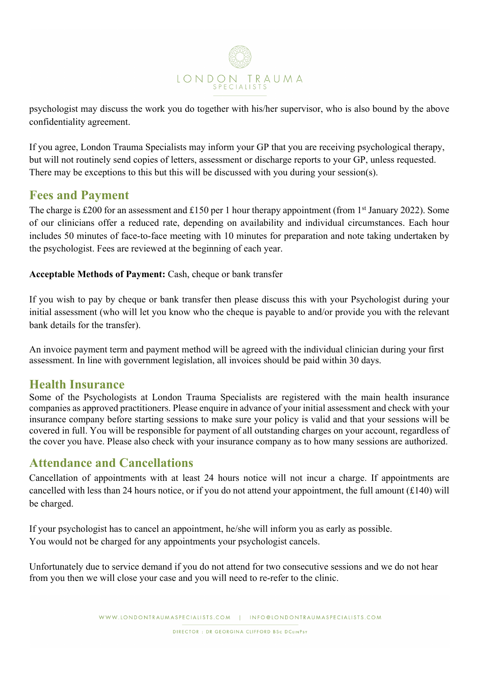

psychologist may discuss the work you do together with his/her supervisor, who is also bound by the above confidentiality agreement.

If you agree, London Trauma Specialists may inform your GP that you are receiving psychological therapy, but will not routinely send copies of letters, assessment or discharge reports to your GP, unless requested. There may be exceptions to this but this will be discussed with you during your session(s).

#### **Fees and Payment**

The charge is £200 for an assessment and £150 per 1 hour therapy appointment (from 1<sup>st</sup> January 2022). Some of our clinicians offer a reduced rate, depending on availability and individual circumstances. Each hour includes 50 minutes of face-to-face meeting with 10 minutes for preparation and note taking undertaken by the psychologist. Fees are reviewed at the beginning of each year.

**Acceptable Methods of Payment:** Cash, cheque or bank transfer

If you wish to pay by cheque or bank transfer then please discuss this with your Psychologist during your initial assessment (who will let you know who the cheque is payable to and/or provide you with the relevant bank details for the transfer).

An invoice payment term and payment method will be agreed with the individual clinician during your first assessment. In line with government legislation, all invoices should be paid within 30 days.

#### **Health Insurance**

Some of the Psychologists at London Trauma Specialists are registered with the main health insurance companies as approved practitioners. Please enquire in advance of your initial assessment and check with your insurance company before starting sessions to make sure your policy is valid and that your sessions will be covered in full. You will be responsible for payment of all outstanding charges on your account, regardless of the cover you have. Please also check with your insurance company as to how many sessions are authorized.

## **Attendance and Cancellations**

Cancellation of appointments with at least 24 hours notice will not incur a charge. If appointments are cancelled with less than 24 hours notice, or if you do not attend your appointment, the full amount (£140) will be charged.

If your psychologist has to cancel an appointment, he/she will inform you as early as possible. You would not be charged for any appointments your psychologist cancels.

Unfortunately due to service demand if you do not attend for two consecutive sessions and we do not hear from you then we will close your case and you will need to re-refer to the clinic.

DIRECTOR : DR GEORGINA CLIFFORD BSc DCLINPSY